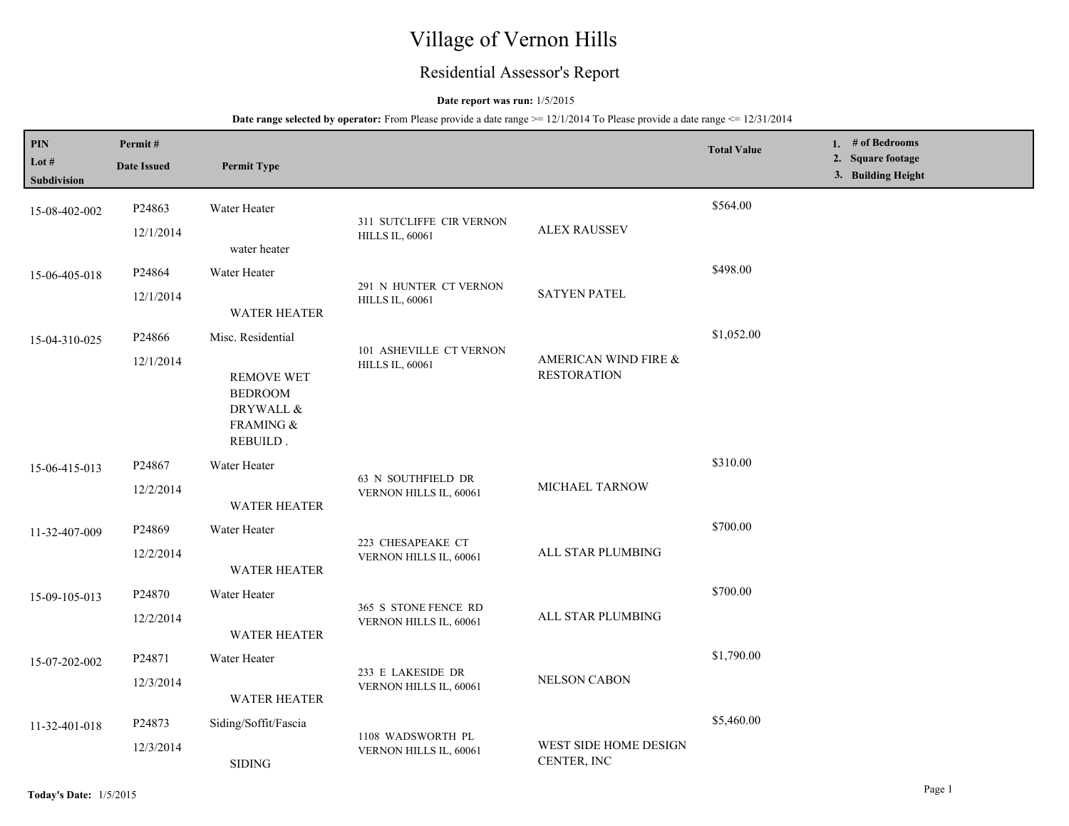# Village of Vernon Hills

## Residential Assessor's Report

## **Date report was run:** 1/5/2015

| PIN<br>Lot $#$<br>Subdivision | Permit#<br><b>Date Issued</b> | <b>Permit Type</b>                                                                             |                                                    |                                            | <b>Total Value</b> | 1. # of Bedrooms<br>2. Square footage<br>3. Building Height |
|-------------------------------|-------------------------------|------------------------------------------------------------------------------------------------|----------------------------------------------------|--------------------------------------------|--------------------|-------------------------------------------------------------|
| 15-08-402-002                 | P24863<br>12/1/2014           | Water Heater<br>water heater                                                                   | 311 SUTCLIFFE CIR VERNON<br><b>HILLS IL, 60061</b> | <b>ALEX RAUSSEV</b>                        | \$564.00           |                                                             |
| 15-06-405-018                 | P24864<br>12/1/2014           | Water Heater<br><b>WATER HEATER</b>                                                            | 291 N HUNTER CT VERNON<br><b>HILLS IL, 60061</b>   | <b>SATYEN PATEL</b>                        | \$498.00           |                                                             |
| 15-04-310-025                 | P24866<br>12/1/2014           | Misc. Residential<br><b>REMOVE WET</b><br><b>BEDROOM</b><br>DRYWALL &<br>FRAMING &<br>REBUILD. | 101 ASHEVILLE CT VERNON<br><b>HILLS IL, 60061</b>  | AMERICAN WIND FIRE &<br><b>RESTORATION</b> | \$1,052.00         |                                                             |
| 15-06-415-013                 | P24867<br>12/2/2014           | Water Heater<br><b>WATER HEATER</b>                                                            | 63 N SOUTHFIELD DR<br>VERNON HILLS IL, 60061       | <b>MICHAEL TARNOW</b>                      | \$310.00           |                                                             |
| 11-32-407-009                 | P24869<br>12/2/2014           | Water Heater<br><b>WATER HEATER</b>                                                            | 223 CHESAPEAKE CT<br>VERNON HILLS IL, 60061        | ALL STAR PLUMBING                          | \$700.00           |                                                             |
| 15-09-105-013                 | P24870<br>12/2/2014           | Water Heater<br><b>WATER HEATER</b>                                                            | 365 S STONE FENCE RD<br>VERNON HILLS IL, 60061     | ALL STAR PLUMBING                          | \$700.00           |                                                             |
| 15-07-202-002                 | P24871<br>12/3/2014           | Water Heater<br><b>WATER HEATER</b>                                                            | 233 E LAKESIDE DR<br>VERNON HILLS IL, 60061        | NELSON CABON                               | \$1,790.00         |                                                             |
| 11-32-401-018                 | P24873<br>12/3/2014           | Siding/Soffit/Fascia<br><b>SIDING</b>                                                          | 1108 WADSWORTH PL<br>VERNON HILLS IL, 60061        | WEST SIDE HOME DESIGN<br>CENTER, INC       | \$5,460.00         |                                                             |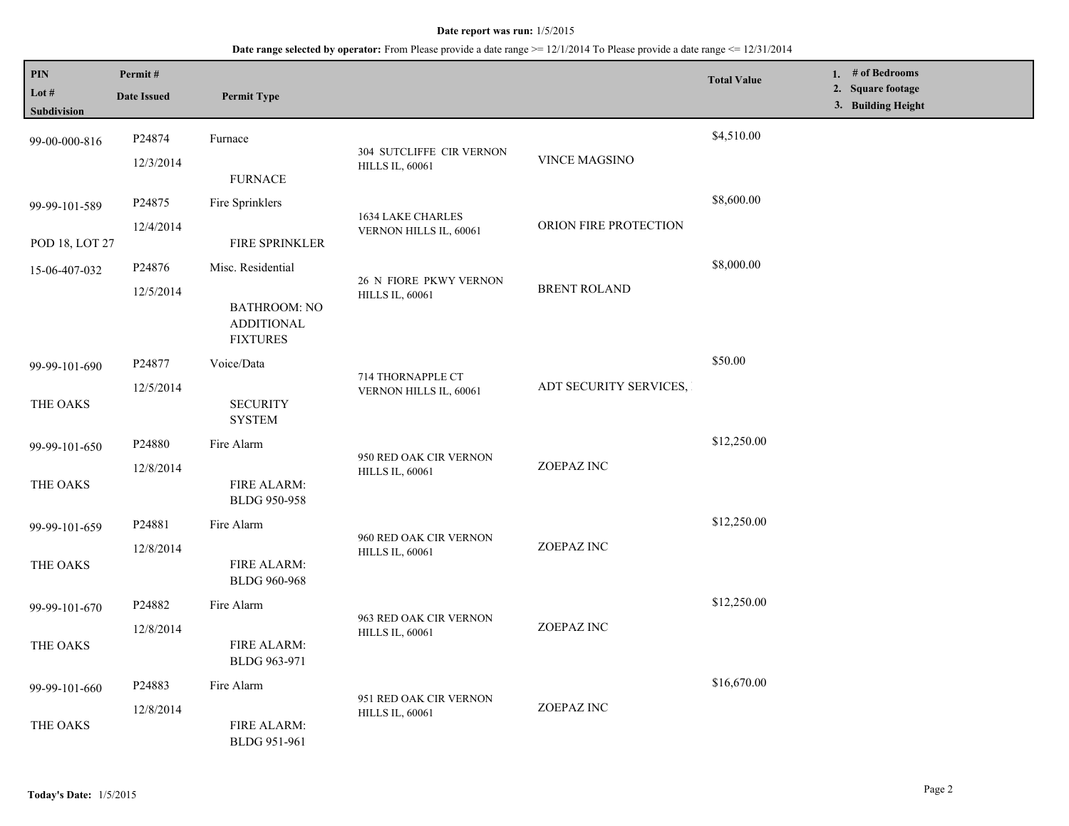| PIN<br>Lot #<br>Subdivision     | Permit#<br><b>Date Issued</b> | <b>Permit Type</b>                                                               |                                                    |                        | <b>Total Value</b> | 1. $#$ of Bedrooms<br>2. Square footage<br>3. Building Height |
|---------------------------------|-------------------------------|----------------------------------------------------------------------------------|----------------------------------------------------|------------------------|--------------------|---------------------------------------------------------------|
| 99-00-000-816                   | P24874<br>12/3/2014           | Furnace<br><b>FURNACE</b>                                                        | 304 SUTCLIFFE CIR VERNON<br><b>HILLS IL, 60061</b> | VINCE MAGSINO          | \$4,510.00         |                                                               |
| 99-99-101-589<br>POD 18, LOT 27 | P24875<br>12/4/2014           | Fire Sprinklers<br><b>FIRE SPRINKLER</b>                                         | 1634 LAKE CHARLES<br>VERNON HILLS IL, 60061        | ORION FIRE PROTECTION  | \$8,600.00         |                                                               |
| 15-06-407-032                   | P24876<br>12/5/2014           | Misc. Residential<br><b>BATHROOM: NO</b><br><b>ADDITIONAL</b><br><b>FIXTURES</b> | 26 N FIORE PKWY VERNON<br><b>HILLS IL, 60061</b>   | <b>BRENT ROLAND</b>    | \$8,000.00         |                                                               |
| 99-99-101-690<br>THE OAKS       | P24877<br>12/5/2014           | Voice/Data<br><b>SECURITY</b><br><b>SYSTEM</b>                                   | 714 THORNAPPLE CT<br>VERNON HILLS IL, 60061        | ADT SECURITY SERVICES, | \$50.00            |                                                               |
| 99-99-101-650<br>THE OAKS       | P24880<br>12/8/2014           | Fire Alarm<br>FIRE ALARM:<br>BLDG 950-958                                        | 950 RED OAK CIR VERNON<br><b>HILLS IL, 60061</b>   | ZOEPAZ INC             | \$12,250.00        |                                                               |
| 99-99-101-659<br>THE OAKS       | P24881<br>12/8/2014           | Fire Alarm<br>FIRE ALARM:<br><b>BLDG 960-968</b>                                 | 960 RED OAK CIR VERNON<br><b>HILLS IL, 60061</b>   | ZOEPAZ INC             | \$12,250.00        |                                                               |
| 99-99-101-670<br>THE OAKS       | P24882<br>12/8/2014           | Fire Alarm<br><b>FIRE ALARM:</b><br>BLDG 963-971                                 | 963 RED OAK CIR VERNON<br><b>HILLS IL, 60061</b>   | ZOEPAZ INC             | \$12,250.00        |                                                               |
| 99-99-101-660<br>THE OAKS       | P24883<br>12/8/2014           | Fire Alarm<br><b>FIRE ALARM:</b><br>BLDG 951-961                                 | 951 RED OAK CIR VERNON<br><b>HILLS IL, 60061</b>   | ZOEPAZ INC             | \$16,670.00        |                                                               |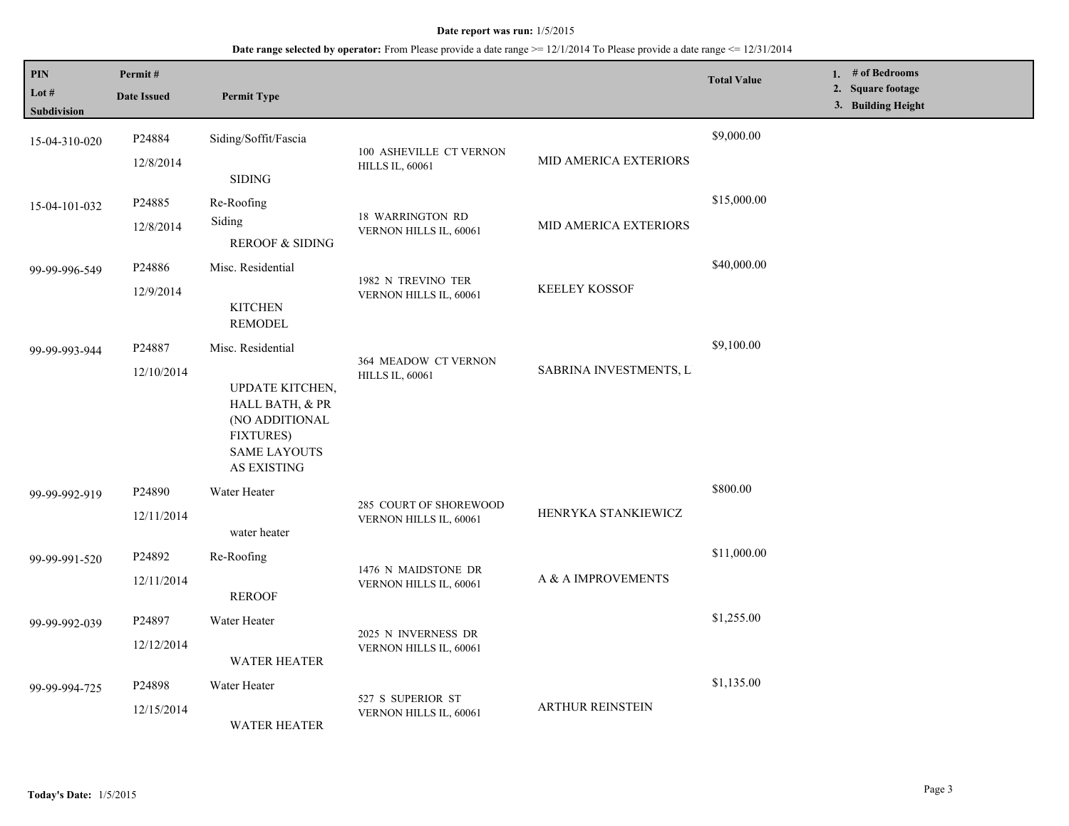| PIN<br>Lot #<br><b>Subdivision</b> | Permit#<br><b>Date Issued</b>    | <b>Permit Type</b>                                                                                                                         |                                                   |                         | <b>Total Value</b> | 1. # of Bedrooms<br>2. Square footage<br>3. Building Height |
|------------------------------------|----------------------------------|--------------------------------------------------------------------------------------------------------------------------------------------|---------------------------------------------------|-------------------------|--------------------|-------------------------------------------------------------|
| 15-04-310-020                      | P24884<br>12/8/2014              | Siding/Soffit/Fascia<br><b>SIDING</b>                                                                                                      | 100 ASHEVILLE CT VERNON<br><b>HILLS IL, 60061</b> | MID AMERICA EXTERIORS   | \$9,000.00         |                                                             |
| 15-04-101-032                      | P24885<br>12/8/2014              | Re-Roofing<br>Siding<br><b>REROOF &amp; SIDING</b>                                                                                         | <b>18 WARRINGTON RD</b><br>VERNON HILLS IL, 60061 | MID AMERICA EXTERIORS   | \$15,000.00        |                                                             |
| 99-99-996-549                      | P24886<br>12/9/2014              | Misc. Residential<br><b>KITCHEN</b><br><b>REMODEL</b>                                                                                      | 1982 N TREVINO TER<br>VERNON HILLS IL, 60061      | <b>KEELEY KOSSOF</b>    | \$40,000.00        |                                                             |
| 99-99-993-944                      | P24887<br>12/10/2014             | Misc. Residential<br>UPDATE KITCHEN,<br>HALL BATH, & PR<br>(NO ADDITIONAL<br><b>FIXTURES)</b><br><b>SAME LAYOUTS</b><br><b>AS EXISTING</b> | 364 MEADOW CT VERNON<br><b>HILLS IL, 60061</b>    | SABRINA INVESTMENTS, L. | \$9,100.00         |                                                             |
| 99-99-992-919                      | P24890<br>12/11/2014             | Water Heater<br>water heater                                                                                                               | 285 COURT OF SHOREWOOD<br>VERNON HILLS IL, 60061  | HENRYKA STANKIEWICZ     | \$800.00           |                                                             |
| 99-99-991-520                      | P24892<br>12/11/2014             | Re-Roofing<br><b>REROOF</b>                                                                                                                | 1476 N MAIDSTONE DR<br>VERNON HILLS IL, 60061     | A & A IMPROVEMENTS      | \$11,000.00        |                                                             |
| 99-99-992-039                      | P <sub>24897</sub><br>12/12/2014 | Water Heater<br><b>WATER HEATER</b>                                                                                                        | 2025 N INVERNESS DR<br>VERNON HILLS IL, 60061     |                         | \$1,255.00         |                                                             |
| 99-99-994-725                      | P24898<br>12/15/2014             | Water Heater<br><b>WATER HEATER</b>                                                                                                        | 527 S SUPERIOR ST<br>VERNON HILLS IL, 60061       | <b>ARTHUR REINSTEIN</b> | \$1,135.00         |                                                             |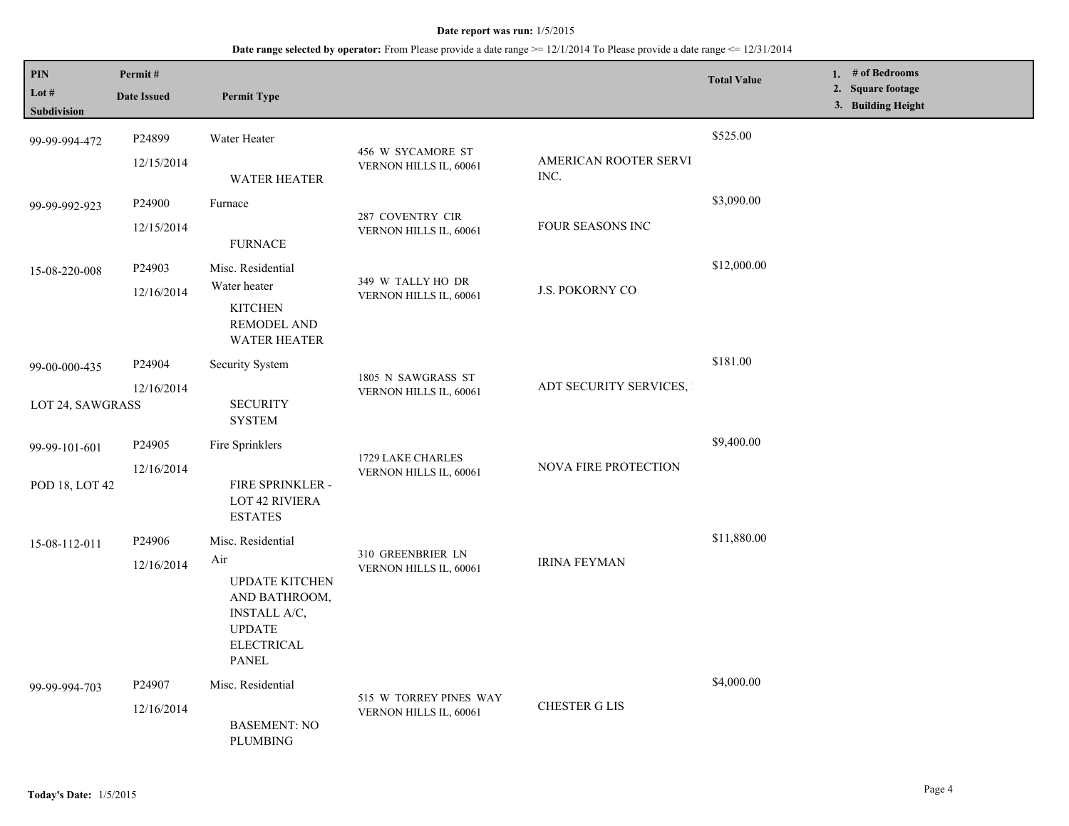| PIN<br>Lot #<br>Subdivision       | Permit#<br><b>Date Issued</b>    | <b>Permit Type</b>                                                                                                                       |                                                  |                               | <b>Total Value</b> | 1. $#$ of Bedrooms<br>2. Square footage<br>3. Building Height |
|-----------------------------------|----------------------------------|------------------------------------------------------------------------------------------------------------------------------------------|--------------------------------------------------|-------------------------------|--------------------|---------------------------------------------------------------|
| 99-99-994-472                     | P24899<br>12/15/2014             | Water Heater<br><b>WATER HEATER</b>                                                                                                      | 456 W SYCAMORE ST<br>VERNON HILLS IL, 60061      | AMERICAN ROOTER SERVI<br>INC. | \$525.00           |                                                               |
| 99-99-992-923                     | P <sub>24900</sub><br>12/15/2014 | Furnace<br><b>FURNACE</b>                                                                                                                | 287 COVENTRY CIR<br>VERNON HILLS IL, 60061       | FOUR SEASONS INC              | \$3,090.00         |                                                               |
| 15-08-220-008                     | P24903<br>12/16/2014             | Misc. Residential<br>Water heater<br><b>KITCHEN</b><br><b>REMODEL AND</b><br><b>WATER HEATER</b>                                         | 349 W TALLY HO DR<br>VERNON HILLS IL, 60061      | J.S. POKORNY CO               | \$12,000.00        |                                                               |
| 99-00-000-435<br>LOT 24, SAWGRASS | P24904<br>12/16/2014             | <b>Security System</b><br><b>SECURITY</b><br><b>SYSTEM</b>                                                                               | 1805 N SAWGRASS ST<br>VERNON HILLS IL, 60061     | ADT SECURITY SERVICES,        | \$181.00           |                                                               |
| 99-99-101-601<br>POD 18, LOT 42   | P <sub>24905</sub><br>12/16/2014 | Fire Sprinklers<br>FIRE SPRINKLER -<br><b>LOT 42 RIVIERA</b><br><b>ESTATES</b>                                                           | 1729 LAKE CHARLES<br>VERNON HILLS IL, 60061      | <b>NOVA FIRE PROTECTION</b>   | \$9,400.00         |                                                               |
| 15-08-112-011                     | P <sub>24906</sub><br>12/16/2014 | Misc. Residential<br>Air<br><b>UPDATE KITCHEN</b><br>AND BATHROOM,<br>INSTALL A/C,<br><b>UPDATE</b><br><b>ELECTRICAL</b><br><b>PANEL</b> | 310 GREENBRIER LN<br>VERNON HILLS IL, 60061      | <b>IRINA FEYMAN</b>           | \$11,880.00        |                                                               |
| 99-99-994-703                     | P <sub>24907</sub><br>12/16/2014 | Misc. Residential<br><b>BASEMENT: NO</b><br><b>PLUMBING</b>                                                                              | 515 W TORREY PINES WAY<br>VERNON HILLS IL, 60061 | <b>CHESTER G LIS</b>          | \$4,000.00         |                                                               |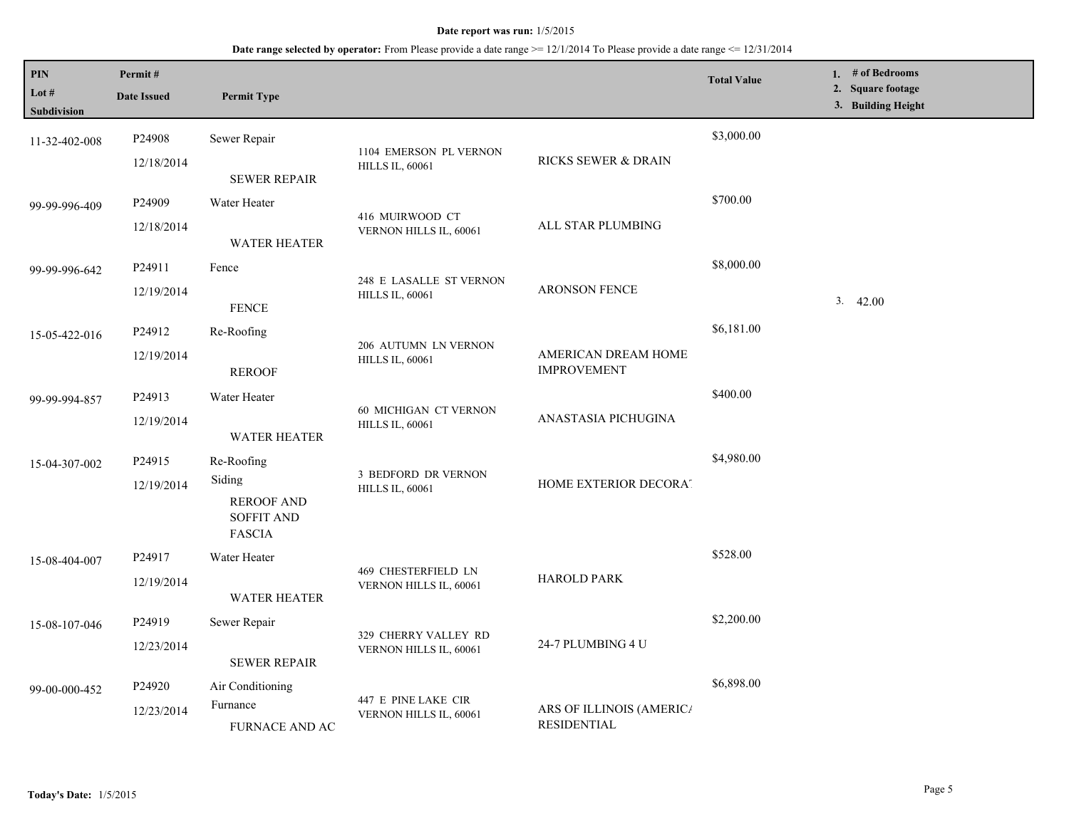| PIN<br>Lot #<br>Subdivision | Permit#<br><b>Date Issued</b> | <b>Permit Type</b>                                                |                                                      |                                                              | <b>Total Value</b> | 1. $#$ of Bedrooms<br>2. Square footage<br>3. Building Height |
|-----------------------------|-------------------------------|-------------------------------------------------------------------|------------------------------------------------------|--------------------------------------------------------------|--------------------|---------------------------------------------------------------|
| 11-32-402-008               | P24908<br>12/18/2014          | Sewer Repair                                                      | 1104 EMERSON PL VERNON                               | RICKS SEWER & DRAIN                                          | \$3,000.00         |                                                               |
|                             |                               | <b>SEWER REPAIR</b>                                               | <b>HILLS IL, 60061</b>                               |                                                              |                    |                                                               |
| 99-99-996-409               | P24909                        | Water Heater                                                      |                                                      | ALL STAR PLUMBING                                            | \$700.00           |                                                               |
|                             | 12/18/2014                    | <b>WATER HEATER</b>                                               | 416 MUIRWOOD CT<br>VERNON HILLS IL, 60061            |                                                              |                    |                                                               |
| 99-99-996-642               | P24911                        | Fence                                                             |                                                      |                                                              | \$8,000.00         |                                                               |
|                             | 12/19/2014                    | <b>FENCE</b>                                                      | 248 E LASALLE ST VERNON<br><b>HILLS IL, 60061</b>    | ARONSON FENCE                                                |                    | 3.<br>42.00                                                   |
| 15-05-422-016               | P24912                        | Re-Roofing                                                        | 206 AUTUMN LN VERNON<br><b>HILLS IL, 60061</b>       |                                                              | \$6,181.00         |                                                               |
|                             | 12/19/2014                    | <b>REROOF</b>                                                     |                                                      | AMERICAN DREAM HOME<br><b>IMPROVEMENT</b>                    |                    |                                                               |
| 99-99-994-857               | P <sub>24913</sub>            | Water Heater                                                      | 60 MICHIGAN CT VERNON<br><b>HILLS IL, 60061</b>      | ANASTASIA PICHUGINA                                          | \$400.00           |                                                               |
|                             | 12/19/2014                    | <b>WATER HEATER</b>                                               |                                                      |                                                              |                    |                                                               |
| 15-04-307-002               | P24915                        | Re-Roofing                                                        | <b>3 BEDFORD DR VERNON</b><br><b>HILLS IL, 60061</b> | HOME EXTERIOR DECORAT                                        | \$4,980.00         |                                                               |
|                             | 12/19/2014                    | Siding<br><b>REROOF AND</b><br><b>SOFFIT AND</b><br><b>FASCIA</b> |                                                      |                                                              |                    |                                                               |
| 15-08-404-007               | P24917                        | Water Heater                                                      |                                                      | <b>HAROLD PARK</b>                                           | \$528.00           |                                                               |
|                             | 12/19/2014                    | <b>WATER HEATER</b>                                               | 469 CHESTERFIELD LN<br>VERNON HILLS IL, 60061        |                                                              |                    |                                                               |
| 15-08-107-046               | P <sub>24919</sub>            | Sewer Repair                                                      |                                                      |                                                              | \$2,200.00         |                                                               |
|                             | 12/23/2014                    | <b>SEWER REPAIR</b>                                               | 329 CHERRY VALLEY RD<br>VERNON HILLS IL, 60061       | 24-7 PLUMBING 4 U                                            |                    |                                                               |
| 99-00-000-452               | P24920                        | Air Conditioning                                                  |                                                      | \$6,898.00<br>ARS OF ILLINOIS (AMERIC/<br><b>RESIDENTIAL</b> |                    |                                                               |
|                             | 12/23/2014                    | Furnance<br>FURNACE AND AC                                        | 447 E PINE LAKE CIR<br>VERNON HILLS IL, 60061        |                                                              |                    |                                                               |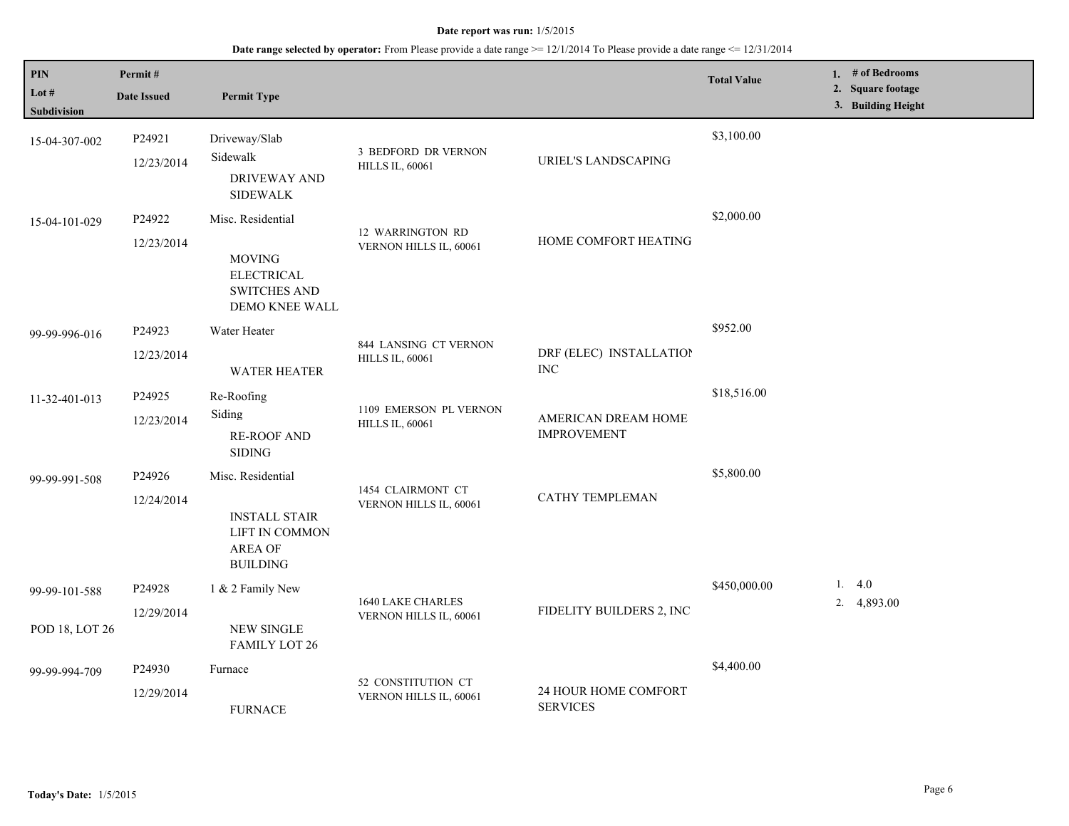| $\mathbf{PIN}$<br>Lot $#$<br>Subdivision | Permit#<br><b>Date Issued</b>    | <b>Permit Type</b>                                                                               |                                                  |                                           | <b>Total Value</b> | 1. # of Bedrooms<br>2. Square footage<br>3. Building Height |
|------------------------------------------|----------------------------------|--------------------------------------------------------------------------------------------------|--------------------------------------------------|-------------------------------------------|--------------------|-------------------------------------------------------------|
| 15-04-307-002                            | P24921<br>12/23/2014             | Driveway/Slab<br>Sidewalk<br><b>DRIVEWAY AND</b><br><b>SIDEWALK</b>                              | 3 BEDFORD DR VERNON<br><b>HILLS IL, 60061</b>    | <b>URIEL'S LANDSCAPING</b>                | \$3,100.00         |                                                             |
| 15-04-101-029                            | P24922<br>12/23/2014             | Misc. Residential<br><b>MOVING</b><br><b>ELECTRICAL</b><br><b>SWITCHES AND</b><br>DEMO KNEE WALL | 12 WARRINGTON RD<br>VERNON HILLS IL, 60061       | HOME COMFORT HEATING                      | \$2,000.00         |                                                             |
| 99-99-996-016                            | P24923<br>12/23/2014             | Water Heater<br><b>WATER HEATER</b>                                                              | 844 LANSING CT VERNON<br><b>HILLS IL, 60061</b>  | DRF (ELEC) INSTALLATION<br><b>INC</b>     | \$952.00           |                                                             |
| 11-32-401-013                            | P24925<br>12/23/2014             | Re-Roofing<br>Siding<br><b>RE-ROOF AND</b><br><b>SIDING</b>                                      | 1109 EMERSON PL VERNON<br><b>HILLS IL, 60061</b> | AMERICAN DREAM HOME<br><b>IMPROVEMENT</b> | \$18,516.00        |                                                             |
| 99-99-991-508                            | P24926<br>12/24/2014             | Misc. Residential<br><b>INSTALL STAIR</b><br>LIFT IN COMMON<br><b>AREA OF</b><br><b>BUILDING</b> | 1454 CLAIRMONT CT<br>VERNON HILLS IL, 60061      | <b>CATHY TEMPLEMAN</b>                    | \$5,800.00         |                                                             |
| 99-99-101-588<br>POD 18, LOT 26          | P24928<br>12/29/2014             | 1 & 2 Family New<br>NEW SINGLE<br><b>FAMILY LOT 26</b>                                           | 1640 LAKE CHARLES<br>VERNON HILLS IL, 60061      | FIDELITY BUILDERS 2, INC                  | \$450,000.00       | 1. $4.0$<br>4,893.00<br>2.                                  |
| 99-99-994-709                            | P <sub>24930</sub><br>12/29/2014 | Furnace<br><b>FURNACE</b>                                                                        | 52 CONSTITUTION CT<br>VERNON HILLS IL, 60061     | 24 HOUR HOME COMFORT<br><b>SERVICES</b>   | \$4,400.00         |                                                             |